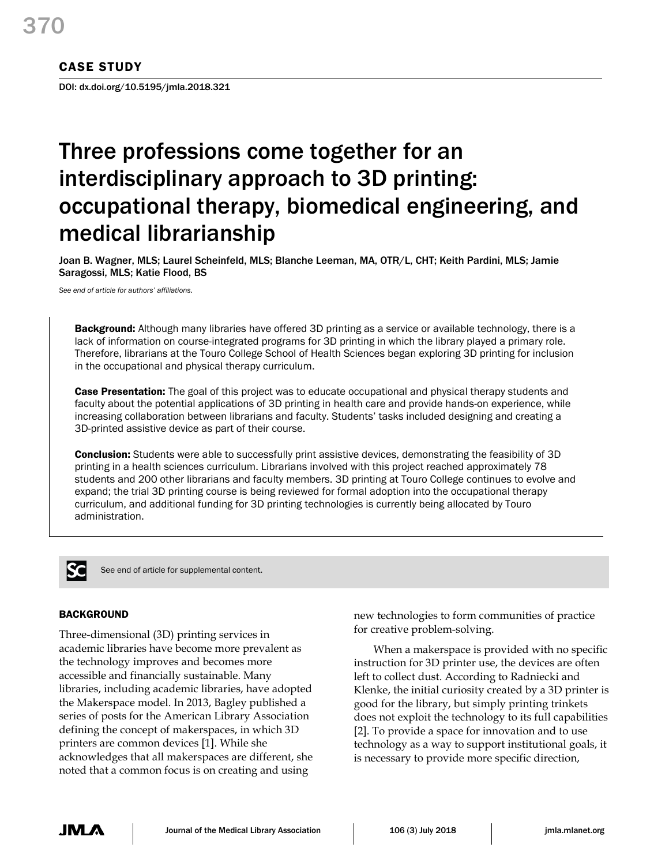# CASE STUDY

DOI: dx.doi.org/10.5195/jmla.2018.321

# Three professions come together for an interdisciplinary approach to 3D printing: occupational therapy, biomedical engineering, and medical librarianship

Joan B. Wagner, MLS; Laurel Scheinfeld, MLS; Blanche Leeman, MA, OTR/L, CHT; Keith Pardini, MLS; Jamie Saragossi, MLS; Katie Flood, BS

*See end of article for authors' affiliations.*

**Background:** Although many libraries have offered 3D printing as a service or available technology, there is a lack of information on course-integrated programs for 3D printing in which the library played a primary role. Therefore, librarians at the Touro College School of Health Sciences began exploring 3D printing for inclusion in the occupational and physical therapy curriculum.

Case Presentation: The goal of this project was to educate occupational and physical therapy students and faculty about the potential applications of 3D printing in health care and provide hands-on experience, while increasing collaboration between librarians and faculty. Students' tasks included designing and creating a 3D-printed assistive device as part of their course.

Conclusion: Students were able to successfully print assistive devices, demonstrating the feasibility of 3D printing in a health sciences curriculum. Librarians involved with this project reached approximately 78 students and 200 other librarians and faculty members. 3D printing at Touro College continues to evolve and expand; the trial 3D printing course is being reviewed for formal adoption into the occupational therapy curriculum, and additional funding for 3D printing technologies is currently being allocated by Touro administration.



See end of article for supplemental content.

# **BACKGROUND**

Three-dimensional (3D) printing services in academic libraries have become more prevalent as the technology improves and becomes more accessible and financially sustainable. Many libraries, including academic libraries, have adopted the Makerspace model. In 2013, Bagley published a series of posts for the American Library Association defining the concept of makerspaces, in which 3D printers are common devices [1]. While she acknowledges that all makerspaces are different, she noted that a common focus is on creating and using

new technologies to form communities of practice for creative problem-solving.

When a makerspace is provided with no specific instruction for 3D printer use, the devices are often left to collect dust. According to Radniecki and Klenke, the initial curiosity created by a 3D printer is good for the library, but simply printing trinkets does not exploit the technology to its full capabilities [2]. To provide a space for innovation and to use technology as a way to support institutional goals, it is necessary to provide more specific direction,

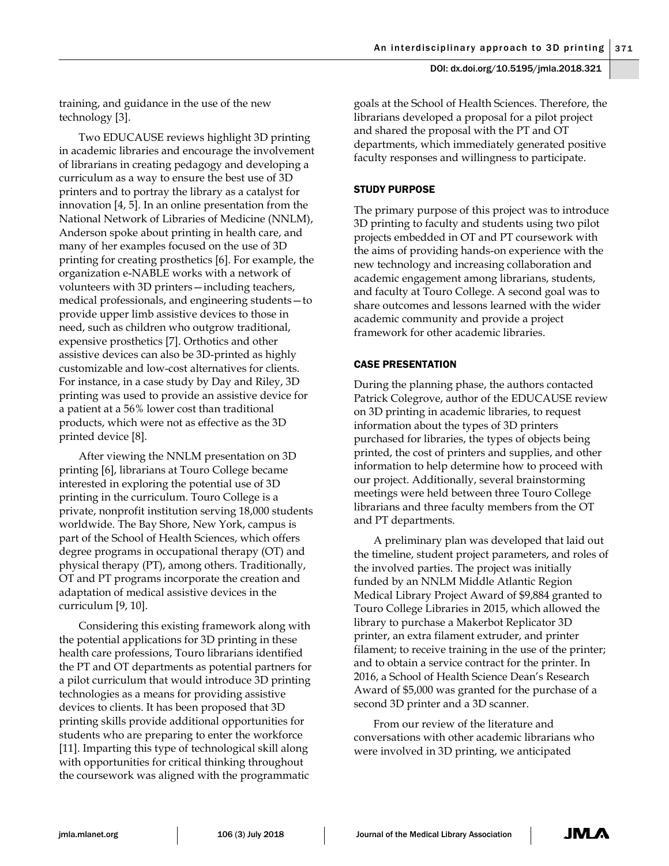training, and guidance in the use of the new technology [3].

Two EDUCAUSE reviews highlight 3D printing in academic libraries and encourage the involvement of librarians in creating pedagogy and developing a curriculum as a way to ensure the best use of 3D printers and to portray the library as a catalyst for innovation [4, 5]. In an online presentation from the National Network of Libraries of Medicine (NNLM), Anderson spoke about printing in health care, and many of her examples focused on the use of 3D printing for creating prosthetics [6]. For example, the organization e-NABLE works with a network of volunteers with 3D printers—including teachers, medical professionals, and engineering students—to provide upper limb assistive devices to those in need, such as children who outgrow traditional, expensive prosthetics [7]. Orthotics and other assistive devices can also be 3D-printed as highly customizable and low-cost alternatives for clients. For instance, in a case study by Day and Riley, 3D printing was used to provide an assistive device for a patient at a 56% lower cost than traditional products, which were not as effective as the 3D printed device [8].

After viewing the NNLM presentation on 3D printing [6], librarians at Touro College became interested in exploring the potential use of 3D printing in the curriculum. Touro College is a private, nonprofit institution serving 18,000 students worldwide. The Bay Shore, New York, campus is part of the School of Health Sciences, which offers degree programs in occupational therapy (OT) and physical therapy (PT), among others. Traditionally, OT and PT programs incorporate the creation and adaptation of medical assistive devices in the curriculum [9, 10].

Considering this existing framework along with the potential applications for 3D printing in these health care professions, Touro librarians identified the PT and OT departments as potential partners for a pilot curriculum that would introduce 3D printing technologies as a means for providing assistive devices to clients. It has been proposed that 3D printing skills provide additional opportunities for students who are preparing to enter the workforce [11]. Imparting this type of technological skill along with opportunities for critical thinking throughout the coursework was aligned with the programmatic

goals at the School of Health Sciences. Therefore, the librarians developed a proposal for a pilot project and shared the proposal with the PT and OT departments, which immediately generated positive faculty responses and willingness to participate.

# STUDY PURPOSE

The primary purpose of this project was to introduce 3D printing to faculty and students using two pilot projects embedded in OT and PT coursework with the aims of providing hands-on experience with the new technology and increasing collaboration and academic engagement among librarians, students, and faculty at Touro College. A second goal was to share outcomes and lessons learned with the wider academic community and provide a project framework for other academic libraries.

# CASE PRESENTATION

During the planning phase, the authors contacted Patrick Colegrove, author of the EDUCAUSE review on 3D printing in academic libraries, to request information about the types of 3D printers purchased for libraries, the types of objects being printed, the cost of printers and supplies, and other information to help determine how to proceed with our project. Additionally, several brainstorming meetings were held between three Touro College librarians and three faculty members from the OT and PT departments.

A preliminary plan was developed that laid out the timeline, student project parameters, and roles of the involved parties. The project was initially funded by an NNLM Middle Atlantic Region Medical Library Project Award of \$9,884 granted to Touro College Libraries in 2015, which allowed the library to purchase a Makerbot Replicator 3D printer, an extra filament extruder, and printer filament; to receive training in the use of the printer; and to obtain a service contract for the printer. In 2016, a School of Health Science Dean's Research Award of \$5,000 was granted for the purchase of a second 3D printer and a 3D scanner.

From our review of the literature and conversations with other academic librarians who were involved in 3D printing, we anticipated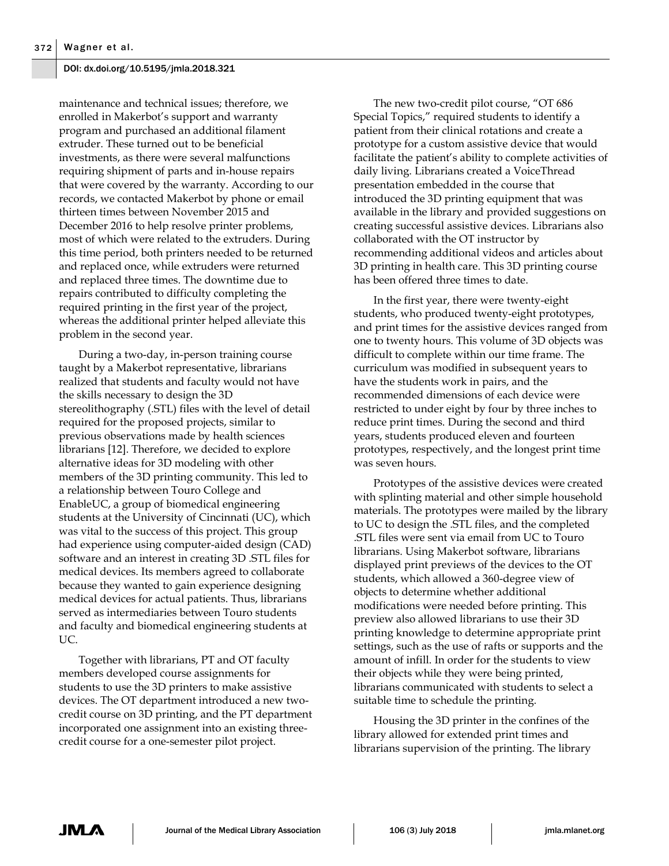maintenance and technical issues; therefore, we enrolled in Makerbot's support and warranty program and purchased an additional filament extruder. These turned out to be beneficial investments, as there were several malfunctions requiring shipment of parts and in-house repairs that were covered by the warranty. According to our records, we contacted Makerbot by phone or email thirteen times between November 2015 and December 2016 to help resolve printer problems, most of which were related to the extruders. During this time period, both printers needed to be returned and replaced once, while extruders were returned and replaced three times. The downtime due to repairs contributed to difficulty completing the required printing in the first year of the project, whereas the additional printer helped alleviate this problem in the second year.

During a two-day, in-person training course taught by a Makerbot representative, librarians realized that students and faculty would not have the skills necessary to design the 3D stereolithography (.STL) files with the level of detail required for the proposed projects, similar to previous observations made by health sciences librarians [12]. Therefore, we decided to explore alternative ideas for 3D modeling with other members of the 3D printing community. This led to a relationship between Touro College and EnableUC, a group of biomedical engineering students at the University of Cincinnati (UC), which was vital to the success of this project. This group had experience using computer-aided design (CAD) software and an interest in creating 3D .STL files for medical devices. Its members agreed to collaborate because they wanted to gain experience designing medical devices for actual patients. Thus, librarians served as intermediaries between Touro students and faculty and biomedical engineering students at UC.

Together with librarians, PT and OT faculty members developed course assignments for students to use the 3D printers to make assistive devices. The OT department introduced a new twocredit course on 3D printing, and the PT department incorporated one assignment into an existing threecredit course for a one-semester pilot project.

The new two-credit pilot course, "OT 686 Special Topics," required students to identify a patient from their clinical rotations and create a prototype for a custom assistive device that would facilitate the patient's ability to complete activities of daily living. Librarians created a VoiceThread presentation embedded in the course that introduced the 3D printing equipment that was available in the library and provided suggestions on creating successful assistive devices. Librarians also collaborated with the OT instructor by recommending additional videos and articles about 3D printing in health care. This 3D printing course has been offered three times to date.

In the first year, there were twenty-eight students, who produced twenty-eight prototypes, and print times for the assistive devices ranged from one to twenty hours. This volume of 3D objects was difficult to complete within our time frame. The curriculum was modified in subsequent years to have the students work in pairs, and the recommended dimensions of each device were restricted to under eight by four by three inches to reduce print times. During the second and third years, students produced eleven and fourteen prototypes, respectively, and the longest print time was seven hours.

Prototypes of the assistive devices were created with splinting material and other simple household materials. The prototypes were mailed by the library to UC to design the .STL files, and the completed .STL files were sent via email from UC to Touro librarians. Using Makerbot software, librarians displayed print previews of the devices to the OT students, which allowed a 360-degree view of objects to determine whether additional modifications were needed before printing. This preview also allowed librarians to use their 3D printing knowledge to determine appropriate print settings, such as the use of rafts or supports and the amount of infill. In order for the students to view their objects while they were being printed, librarians communicated with students to select a suitable time to schedule the printing.

Housing the 3D printer in the confines of the library allowed for extended print times and librarians supervision of the printing. The library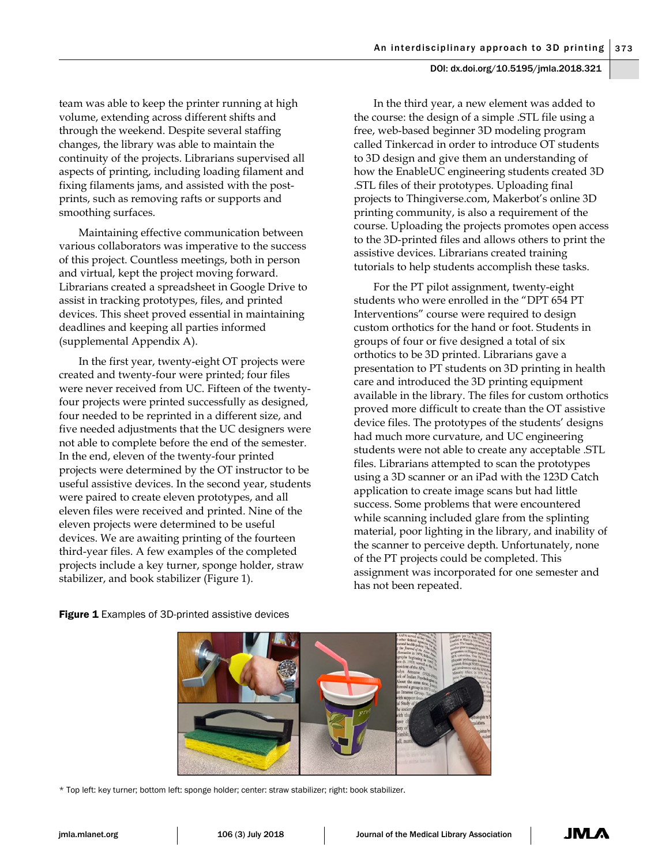team was able to keep the printer running at high volume, extending across different shifts and through the weekend. Despite several staffing changes, the library was able to maintain the continuity of the projects. Librarians supervised all aspects of printing, including loading filament and fixing filaments jams, and assisted with the postprints, such as removing rafts or supports and smoothing surfaces.

Maintaining effective communication between various collaborators was imperative to the success of this project. Countless meetings, both in person and virtual, kept the project moving forward. Librarians created a spreadsheet in Google Drive to assist in tracking prototypes, files, and printed devices. This sheet proved essential in maintaining deadlines and keeping all parties informed (supplemental Appendix A).

In the first year, twenty-eight OT projects were created and twenty-four were printed; four files were never received from UC. Fifteen of the twentyfour projects were printed successfully as designed, four needed to be reprinted in a different size, and five needed adjustments that the UC designers were not able to complete before the end of the semester. In the end, eleven of the twenty-four printed projects were determined by the OT instructor to be useful assistive devices. In the second year, students were paired to create eleven prototypes, and all eleven files were received and printed. Nine of the eleven projects were determined to be useful devices. We are awaiting printing of the fourteen third-year files. A few examples of the completed projects include a key turner, sponge holder, straw stabilizer, and book stabilizer (Figure 1).

In the third year, a new element was added to the course: the design of a simple .STL file using a free, web-based beginner 3D modeling program called Tinkercad in order to introduce OT students to 3D design and give them an understanding of how the EnableUC engineering students created 3D .STL files of their prototypes. Uploading final projects to Thingiverse.com, Makerbot's online 3D printing community, is also a requirement of the course. Uploading the projects promotes open access to the 3D-printed files and allows others to print the assistive devices. Librarians created training tutorials to help students accomplish these tasks.

For the PT pilot assignment, twenty-eight students who were enrolled in the "DPT 654 PT Interventions" course were required to design custom orthotics for the hand or foot. Students in groups of four or five designed a total of six orthotics to be 3D printed. Librarians gave a presentation to PT students on 3D printing in health care and introduced the 3D printing equipment available in the library. The files for custom orthotics proved more difficult to create than the OT assistive device files. The prototypes of the students' designs had much more curvature, and UC engineering students were not able to create any acceptable .STL files. Librarians attempted to scan the prototypes using a 3D scanner or an iPad with the 123D Catch application to create image scans but had little success. Some problems that were encountered while scanning included glare from the splinting material, poor lighting in the library, and inability of the scanner to perceive depth. Unfortunately, none of the PT projects could be completed. This assignment was incorporated for one semester and has not been repeated.

**Figure 1** Examples of 3D-printed assistive devices



\* Top left: key turner; bottom left: sponge holder; center: straw stabilizer; right: book stabilizer.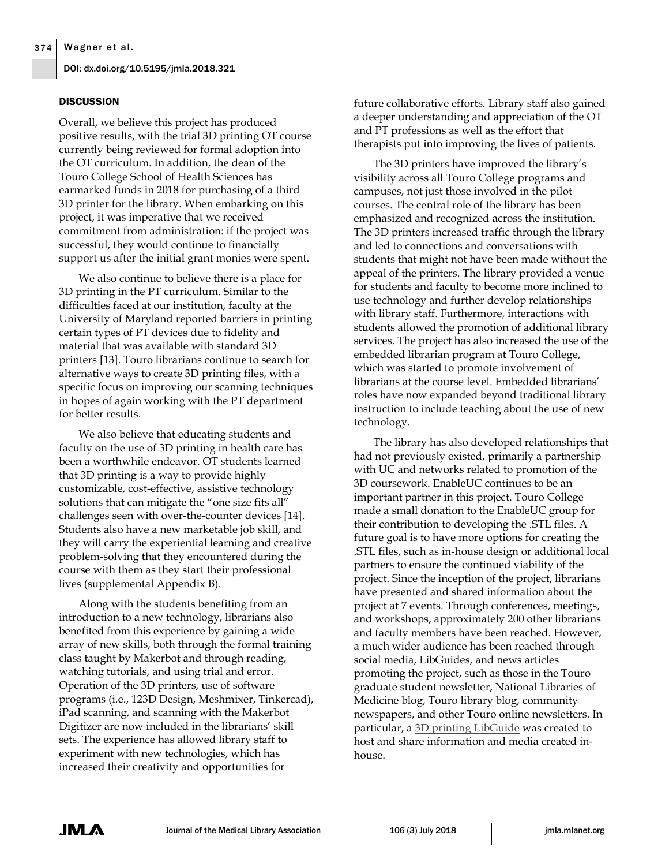# **DISCUSSION**

Overall, we believe this project has produced positive results, with the trial 3D printing OT course currently being reviewed for formal adoption into the OT curriculum. In addition, the dean of the Touro College School of Health Sciences has earmarked funds in 2018 for purchasing of a third 3D printer for the library. When embarking on this project, it was imperative that we received commitment from administration: if the project was successful, they would continue to financially support us after the initial grant monies were spent.

We also continue to believe there is a place for 3D printing in the PT curriculum. Similar to the difficulties faced at our institution, faculty at the University of Maryland reported barriers in printing certain types of PT devices due to fidelity and material that was available with standard 3D printers [13]. Touro librarians continue to search for alternative ways to create 3D printing files, with a specific focus on improving our scanning techniques in hopes of again working with the PT department for better results.

We also believe that educating students and faculty on the use of 3D printing in health care has been a worthwhile endeavor. OT students learned that 3D printing is a way to provide highly customizable, cost-effective, assistive technology solutions that can mitigate the "one size fits all" challenges seen with over-the-counter devices [14]. Students also have a new marketable job skill, and they will carry the experiential learning and creative problem-solving that they encountered during the course with them as they start their professional lives (supplemental Appendix B).

Along with the students benefiting from an introduction to a new technology, librarians also benefited from this experience by gaining a wide array of new skills, both through the formal training class taught by Makerbot and through reading, watching tutorials, and using trial and error. Operation of the 3D printers, use of software programs (i.e., 123D Design, Meshmixer, Tinkercad), iPad scanning, and scanning with the Makerbot Digitizer are now included in the librarians' skill sets. The experience has allowed library staff to experiment with new technologies, which has increased their creativity and opportunities for

future collaborative efforts. Library staff also gained a deeper understanding and appreciation of the OT and PT professions as well as the effort that therapists put into improving the lives of patients.

The 3D printers have improved the library's visibility across all Touro College programs and campuses, not just those involved in the pilot courses. The central role of the library has been emphasized and recognized across the institution. The 3D printers increased traffic through the library and led to connections and conversations with students that might not have been made without the appeal of the printers. The library provided a venue for students and faculty to become more inclined to use technology and further develop relationships with library staff. Furthermore, interactions with students allowed the promotion of additional library services. The project has also increased the use of the embedded librarian program at Touro College, which was started to promote involvement of librarians at the course level. Embedded librarians' roles have now expanded beyond traditional library instruction to include teaching about the use of new technology.

The library has also developed relationships that had not previously existed, primarily a partnership with UC and networks related to promotion of the 3D coursework. EnableUC continues to be an important partner in this project. Touro College made a small donation to the EnableUC group for their contribution to developing the .STL files. A future goal is to have more options for creating the .STL files, such as in-house design or additional local partners to ensure the continued viability of the project. Since the inception of the project, librarians have presented and shared information about the project at 7 events. Through conferences, meetings, and workshops, approximately 200 other librarians and faculty members have been reached. However, a much wider audience has been reached through social media, LibGuides, and news articles promoting the project, such as those in the Touro graduate student newsletter, National Libraries of Medicine blog, Touro library blog, community newspapers, and other Touro online newsletters. In particular, a [3D printing LibGuide](http://libguides.tourolib.org/3DPrinting) was created to host and share information and media created inhouse.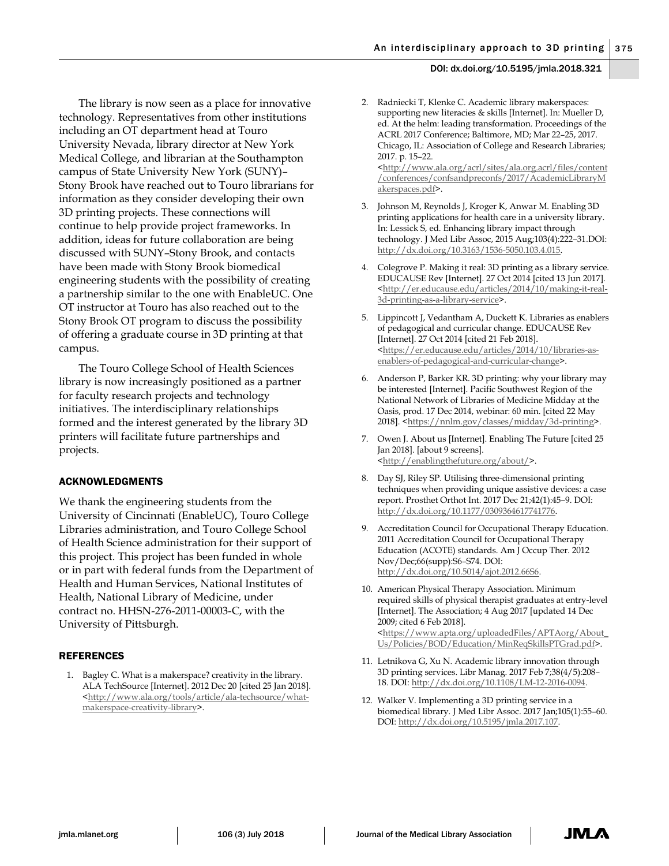The library is now seen as a place for innovative technology. Representatives from other institutions including an OT department head at Touro University Nevada, library director at New York Medical College, and librarian at the Southampton campus of State University New York (SUNY)– Stony Brook have reached out to Touro librarians for information as they consider developing their own 3D printing projects. These connections will continue to help provide project frameworks. In addition, ideas for future collaboration are being discussed with SUNY–Stony Brook, and contacts have been made with Stony Brook biomedical engineering students with the possibility of creating a partnership similar to the one with EnableUC. One OT instructor at Touro has also reached out to the Stony Brook OT program to discuss the possibility of offering a graduate course in 3D printing at that campus.

The Touro College School of Health Sciences library is now increasingly positioned as a partner for faculty research projects and technology initiatives. The interdisciplinary relationships formed and the interest generated by the library 3D printers will facilitate future partnerships and projects.

# ACKNOWLEDGMENTS

We thank the engineering students from the University of Cincinnati (EnableUC), Touro College Libraries administration, and Touro College School of Health Science administration for their support of this project. This project has been funded in whole or in part with federal funds from the Department of Health and Human Services, National Institutes of Health, National Library of Medicine, under contract no. HHSN-276-2011-00003-C, with the University of Pittsburgh.

#### REFERENCES

1. Bagley C. What is a makerspace? creativity in the library. ALA TechSource [Internet]. 2012 Dec 20 [cited 25 Jan 2018]. [<http://www.ala.org/tools/article/ala-techsource/what](http://www.ala.org/tools/article/ala-techsource/what-makerspace-creativity-library)[makerspace-creativity-library>](http://www.ala.org/tools/article/ala-techsource/what-makerspace-creativity-library).

2. Radniecki T, Klenke C. Academic library makerspaces: supporting new literacies & skills [Internet]. In: Mueller D, ed. At the helm: leading transformation. Proceedings of the ACRL 2017 Conference; Baltimore, MD; Mar 22–25, 2017. Chicago, IL: Association of College and Research Libraries; 2017. p. 15–22.

[<http://www.ala.org/acrl/sites/ala.org.acrl/files/content](http://www.ala.org/acrl/sites/ala.org.acrl/files/content/conferences/confsandpreconfs/2017/AcademicLibraryMakerspaces.pdf) [/conferences/confsandpreconfs/2017/AcademicLibraryM](http://www.ala.org/acrl/sites/ala.org.acrl/files/content/conferences/confsandpreconfs/2017/AcademicLibraryMakerspaces.pdf) [akerspaces.pdf>](http://www.ala.org/acrl/sites/ala.org.acrl/files/content/conferences/confsandpreconfs/2017/AcademicLibraryMakerspaces.pdf).

- 3. Johnson M, Reynolds J, Kroger K, Anwar M. Enabling 3D printing applications for health care in a university library. In: Lessick S, ed. Enhancing library impact through technology. J Med Libr Assoc, 2015 Aug;103(4):222–31.DOI: [http://dx.doi.org/10.3163/1536-5050.103.4.015.](http://dx.doi.org/10.3163/1536-5050.103.4.015)
- 4. Colegrove P. Making it real: 3D printing as a library service. EDUCAUSE Rev [Internet]. 27 Oct 2014 [cited 13 Jun 2017]. [<http://er.educause.edu/articles/2014/10/making-it-real-](http://er.educause.edu/articles/2014/10/making-it-real-3d-printing-as-a-library-service)[3d-printing-as-a-library-service>](http://er.educause.edu/articles/2014/10/making-it-real-3d-printing-as-a-library-service).
- 5. Lippincott J, Vedantham A, Duckett K. Libraries as enablers of pedagogical and curricular change. EDUCAUSE Rev [Internet]. 27 Oct 2014 [cited 21 Feb 2018]. [<https://er.educause.edu/articles/2014/10/libraries-as](https://er.educause.edu/articles/2014/10/libraries-as-enablers-of-pedagogical-and-curricular-change)[enablers-of-pedagogical-and-curricular-change>](https://er.educause.edu/articles/2014/10/libraries-as-enablers-of-pedagogical-and-curricular-change).
- 6. Anderson P, Barker KR. 3D printing: why your library may be interested [Internet]. Pacific Southwest Region of the National Network of Libraries of Medicine Midday at the Oasis, prod. 17 Dec 2014, webinar: 60 min. [cited 22 May 2018]. [<https://nnlm.gov/classes/midday/3d-printing>](https://nnlm.gov/classes/midday/3d-printing).
- 7. Owen J. About us [Internet]. Enabling The Future [cited 25 Jan 2018]. [about 9 screens]. [<http://enablingthefuture.org/about/>](http://enablingthefuture.org/about/).
- 8. Day SJ, Riley SP. Utilising three-dimensional printing techniques when providing unique assistive devices: a case report. Prosthet Orthot Int. 2017 Dec 21;42(1):45–9. DOI: [http://dx.doi.org/10.1177/0309364617741776.](http://dx.doi.org/10.1177/0309364617741776)
- 9. Accreditation Council for Occupational Therapy Education. 2011 Accreditation Council for Occupational Therapy Education (ACOTE) standards. Am J Occup Ther. 2012 Nov/Dec;66(supp):S6–S74. DOI: [http://dx.doi.org/10.5014/ajot.2012.66S6.](http://dx.doi.org/10.5014/ajot.2012.66S6)
- 10. American Physical Therapy Association. Minimum required skills of physical therapist graduates at entry-level [Internet]. The Association; 4 Aug 2017 [updated 14 Dec 2009; cited 6 Feb 2018]. [<https://www.apta.org/uploadedFiles/APTAorg/About\\_](https://www.apta.org/uploadedFiles/APTAorg/About_Us/Policies/BOD/Education/MinReqSkillsPTGrad.pdf) [Us/Policies/BOD/Education/MinReqSkillsPTGrad.pdf>](https://www.apta.org/uploadedFiles/APTAorg/About_Us/Policies/BOD/Education/MinReqSkillsPTGrad.pdf).
- 11. Letnikova G, Xu N. Academic library innovation through 3D printing services. Libr Manag. 2017 Feb 7;38(4/5):208– 18. DOI: [http://dx.doi.org/10.1108/LM-12-2016-0094.](http://dx.doi.org/10.1108/LM-12-2016-0094)
- 12. Walker V. Implementing a 3D printing service in a biomedical library. J Med Libr Assoc. 2017 Jan;105(1):55–60. DOI: [http://dx.doi.org/10.5195/jmla.2017.107.](http://dx.doi.org/10.5195/jmla.2017.107)